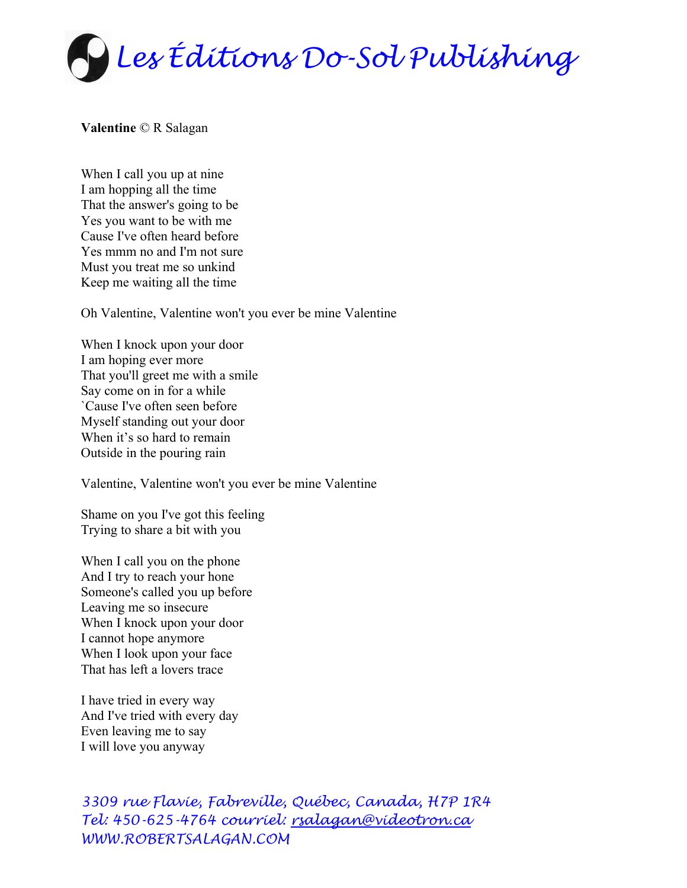

## **Valentine** © R Salagan

When I call you up at nine I am hopping all the time That the answer's going to be Yes you want to be with me Cause I've often heard before Yes mmm no and I'm not sure Must you treat me so unkind Keep me waiting all the time

Oh Valentine, Valentine won't you ever be mine Valentine

When I knock upon your door I am hoping ever more That you'll greet me with a smile Say come on in for a while `Cause I've often seen before Myself standing out your door When it's so hard to remain Outside in the pouring rain

Valentine, Valentine won't you ever be mine Valentine

Shame on you I've got this feeling Trying to share a bit with you

When I call you on the phone And I try to reach your hone Someone's called you up before Leaving me so insecure When I knock upon your door I cannot hope anymore When I look upon your face That has left a lovers trace

I have tried in every way And I've tried with every day Even leaving me to say I will love you anyway

*3309 rue Flavie, Fabreville, Québec, Canada, H7P 1R4 Tel: 450-625-4764 courriel: [rsalagan@videotron.ca](mailto:rsalagan@videotron.ca)  WWW.ROBERTSALAGAN.COM*